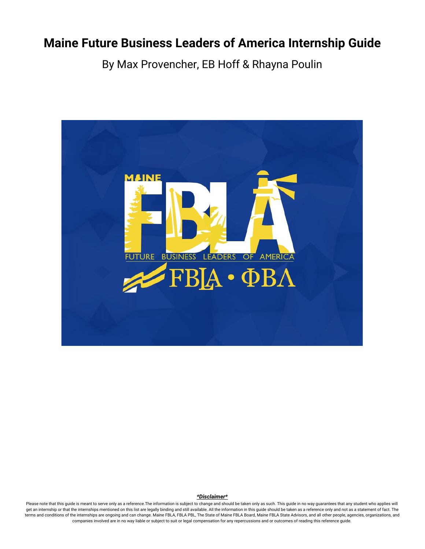# **Maine Future Business Leaders of America Internship Guide**

By Max Provencher, EB Hoff & Rhayna Poulin



#### *\*Disclaimer\**

Please note that this guide is meant to serve only as a reference. The information is subject to change and should be taken only as such. This guide in no way guarantees that any student who applies will get an internship or that the internships mentioned on this list are legally binding and still available. All the information in this guide should be taken as a reference only and not as a statement of fact. The terms and conditions of the internships are ongoing and can change. Maine FBLA, FBLA PBL, The State of Maine FBLA Board, Maine FBLA State Advisors, and all other people, agencies, organizations, and companies involved are in no way liable or subject to suit or legal compensation for any repercussions and or outcomes of reading this reference guide.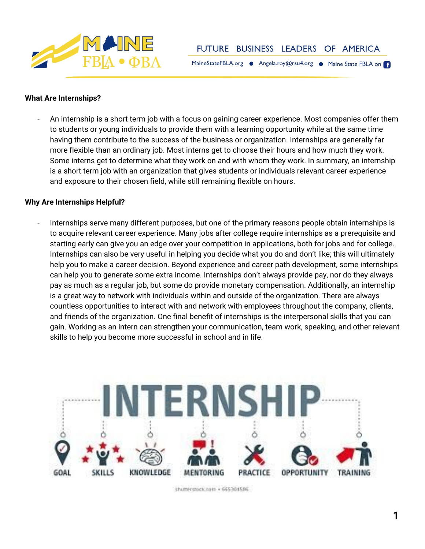

MaineStateFBLA.org · Angela.roy@rsu4.org · Maine State FBLA on

## **What Are Internships?**

- An internship is a short term job with a focus on gaining career experience. Most companies offer them to students or young individuals to provide them with a learning opportunity while at the same time having them contribute to the success of the business or organization. Internships are generally far more flexible than an ordinary job. Most interns get to choose their hours and how much they work. Some interns get to determine what they work on and with whom they work. In summary, an internship is a short term job with an organization that gives students or individuals relevant career experience and exposure to their chosen field, while still remaining flexible on hours.

## **Why Are Internships Helpful?**

- Internships serve many different purposes, but one of the primary reasons people obtain internships is to acquire relevant career experience. Many jobs after college require internships as a prerequisite and starting early can give you an edge over your competition in applications, both for jobs and for college. Internships can also be very useful in helping you decide what you do and don't like; this will ultimately help you to make a career decision. Beyond experience and career path development, some internships can help you to generate some extra income. Internships don't always provide pay, nor do they always pay as much as a regular job, but some do provide monetary compensation. Additionally, an internship is a great way to network with individuals within and outside of the organization. There are always countless opportunities to interact with and network with employees throughout the company, clients, and friends of the organization. One final benefit of internships is the interpersonal skills that you can gain. Working as an intern can strengthen your communication, team work, speaking, and other relevant skills to help you become more successful in school and in life.



Shutterstock.com + 665304586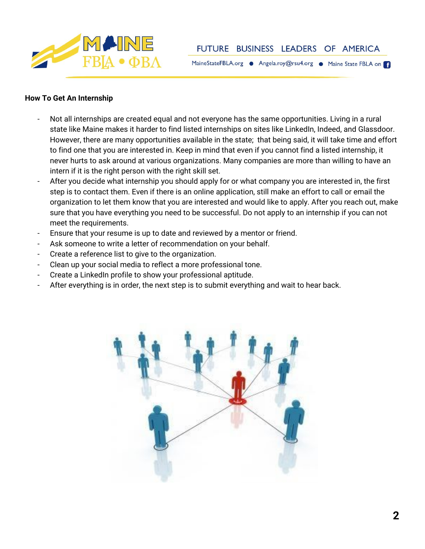

MaineStateFBLA.org · Angela.roy@rsu4.org · Maine State FBLA on

## **How To Get An Internship**

- Not all internships are created equal and not everyone has the same opportunities. Living in a rural state like Maine makes it harder to find listed internships on sites like LinkedIn, Indeed, and Glassdoor. However, there are many opportunities available in the state; that being said, it will take time and effort to find one that you are interested in. Keep in mind that even if you cannot find a listed internship, it never hurts to ask around at various organizations. Many companies are more than willing to have an intern if it is the right person with the right skill set.
- After you decide what internship you should apply for or what company you are interested in, the first step is to contact them. Even if there is an online application, still make an effort to call or email the organization to let them know that you are interested and would like to apply. After you reach out, make sure that you have everything you need to be successful. Do not apply to an internship if you can not meet the requirements.
- Ensure that your resume is up to date and reviewed by a mentor or friend.
- Ask someone to write a letter of recommendation on your behalf.
- Create a reference list to give to the organization.
- Clean up your social media to reflect a more professional tone.
- Create a LinkedIn profile to show your professional aptitude.
- After everything is in order, the next step is to submit everything and wait to hear back.

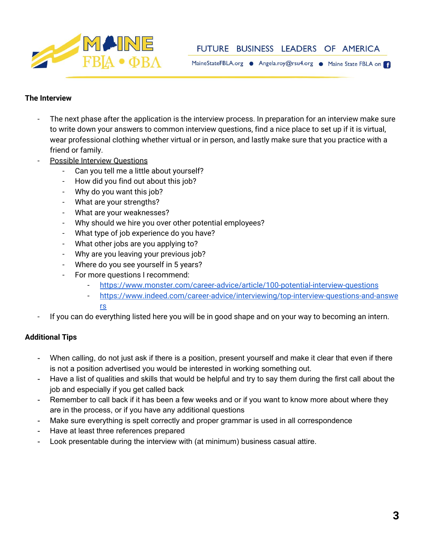

MaineStateFBLA.org · Angela.roy@rsu4.org · Maine State FBLA on

## **The Interview**

- The next phase after the application is the interview process. In preparation for an interview make sure to write down your answers to common interview questions, find a nice place to set up if it is virtual, wear professional clothing whether virtual or in person, and lastly make sure that you practice with a friend or family.
- Possible Interview Questions
	- Can you tell me a little about yourself?
	- How did you find out about this job?
	- Why do you want this job?
	- What are your strengths?
	- What are your weaknesses?
	- Why should we hire you over other potential employees?
	- What type of job experience do you have?
	- What other jobs are you applying to?
	- Why are you leaving your previous job?
	- Where do you see yourself in 5 years?
	- For more questions I recommend:
		- <https://www.monster.com/career-advice/article/100-potential-interview-questions>
		- [https://www.indeed.com/career-advice/interviewing/top-interview-questions-and-answe](https://www.indeed.com/career-advice/interviewing/top-interview-questions-and-answers) [rs](https://www.indeed.com/career-advice/interviewing/top-interview-questions-and-answers)
- If you can do everything listed here you will be in good shape and on your way to becoming an intern.

## **Additional Tips**

- When calling, do not just ask if there is a position, present yourself and make it clear that even if there is not a position advertised you would be interested in working something out.
- Have a list of qualities and skills that would be helpful and try to say them during the first call about the job and especially if you get called back
- Remember to call back if it has been a few weeks and or if you want to know more about where they are in the process, or if you have any additional questions
- Make sure everything is spelt correctly and proper grammar is used in all correspondence
- Have at least three references prepared
- Look presentable during the interview with (at minimum) business casual attire.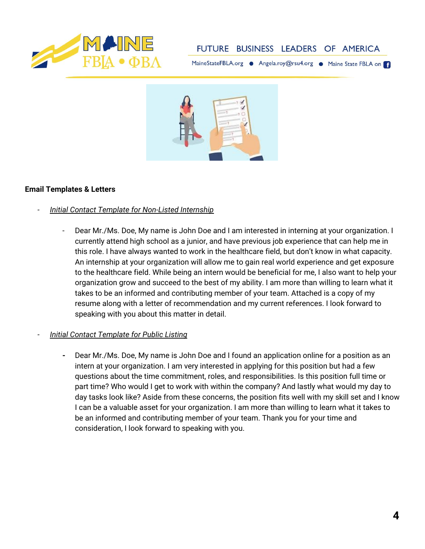

MaineStateFBLA.org · Angela.roy@rsu4.org · Maine State FBLA on



## **Email Templates & Letters**

- *- Initial Contact Template for Non-Listed Internship*
	- Dear Mr./Ms. Doe, My name is John Doe and I am interested in interning at your organization. I currently attend high school as a junior, and have previous job experience that can help me in this role. I have always wanted to work in the healthcare field, but don't know in what capacity. An internship at your organization will allow me to gain real world experience and get exposure to the healthcare field. While being an intern would be beneficial for me, I also want to help your organization grow and succeed to the best of my ability. I am more than willing to learn what it takes to be an informed and contributing member of your team. Attached is a copy of my resume along with a letter of recommendation and my current references. I look forward to speaking with you about this matter in detail.
- *- Initial Contact Template for Public Listing*
	- **-** Dear Mr./Ms. Doe, My name is John Doe and I found an application online for a position as an intern at your organization. I am very interested in applying for this position but had a few questions about the time commitment, roles, and responsibilities. Is this position full time or part time? Who would I get to work with within the company? And lastly what would my day to day tasks look like? Aside from these concerns, the position fits well with my skill set and I know I can be a valuable asset for your organization. I am more than willing to learn what it takes to be an informed and contributing member of your team. Thank you for your time and consideration, I look forward to speaking with you.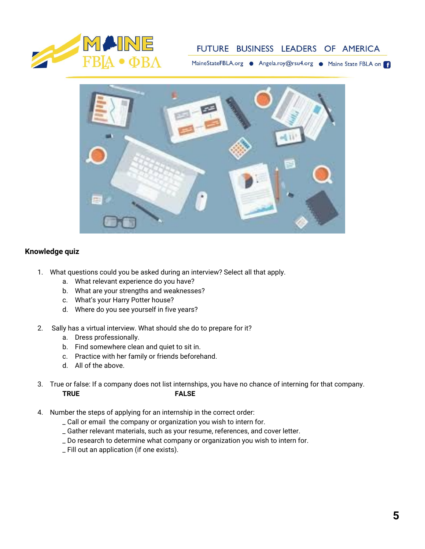

MaineStateFBLA.org · Angela.roy@rsu4.org · Maine State FBLA on



## **Knowledge quiz**

- 1. What questions could you be asked during an interview? Select all that apply.
	- a. What relevant experience do you have?
	- b. What are your strengths and weaknesses?
	- c. What's your Harry Potter house?
	- d. Where do you see yourself in five years?
- 2. Sally has a virtual interview. What should she do to prepare for it?
	- a. Dress professionally.
	- b. Find somewhere clean and quiet to sit in.
	- c. Practice with her family or friends beforehand.
	- d. All of the above.
- 3. True or false: If a company does not list internships, you have no chance of interning for that company. **TRUE FALSE**
- 4. Number the steps of applying for an internship in the correct order:
	- \_ Call or email the company or organization you wish to intern for.
	- \_ Gather relevant materials, such as your resume, references, and cover letter.
	- \_ Do research to determine what company or organization you wish to intern for.
	- \_ Fill out an application (if one exists).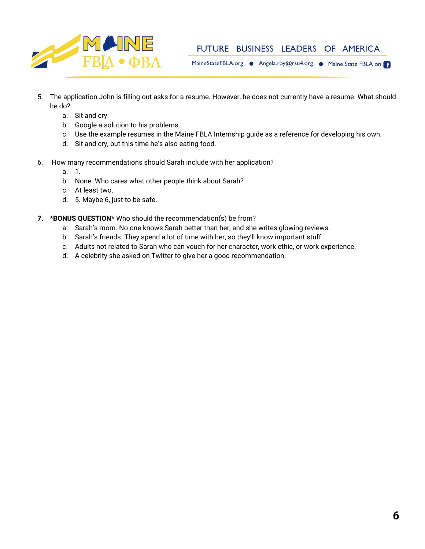

MaineStateFBLA.org . Angela.roy@rsu4.org . Maine State FBLA on

- 5. The application John is filling out asks for a resume. However, he does not currently have a resume. What should he do?
	- a. Sit and cry.
	- b. Google a solution to his problems.
	- c. Use the example resumes in the Maine FBLA Internship guide as a reference for developing his own.
	- d. Sit and cry, but this time he's also eating food.
- 6. How many recommendations should Sarah include with her application?
	- a. 1.
	- b. None. Who cares what other people think about Sarah?
	- c. At least two.
	- d. 5. Maybe 6, just to be safe.
- **7. \*BONUS QUESTION\*** Who should the recommendation(s) be from?
	- a. Sarah's mom. No one knows Sarah better than her, and she writes glowing reviews.
	- b. Sarah's friends. They spend a lot of time with her, so they'll know important stuff.
	- c. Adults not related to Sarah who can vouch for her character, work ethic, or work experience.
	- d. A celebrity she asked on Twitter to give her a good recommendation.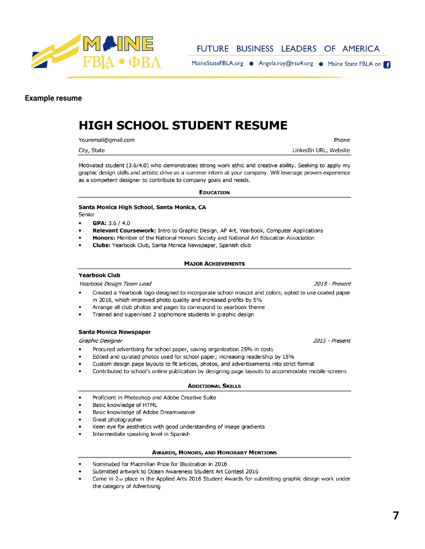

MaineStateFBLA.org . Angela.roy@rsu4.org . Maine State FBLA on

### **Example resume**

# **HIGH SCHOOL STUDENT RESUME**

Youremail@gmail.com

City, State

LinkedIn URL, Website

Phone

Motivated student (3.6/4.0) who demonstrates strong work ethic and creative ability. Seeking to apply my graphic design skills and artistic drive as a summer intern at your company. Will leverage proven experience as a competent designer to contribute to company goals and needs.

### **EDUCATION**

### Santa Monica High School, Santa Monica, CA Senior

 $\blacksquare$ GPA: 3.6 / 4.0

- $\blacksquare$ Relevant Coursework: Intro to Graphic Design, AP Art, Yearbook, Computer Applications
- Honors: Member of the National Honors Society and National Art Education Association  $\blacksquare$
- Clubs: Yearbook Club, Santa Monica Newspaper, Spanish club

### **MAJOR ACHIEVEMENTS**

### **Yearbook Club**

Yearbook Design Team Lead

- Created a Yearbook logo designed to incorporate school mascot and colors; opted to use coated paper in 2016, which improved photo quality and increased profits by 5%
- Arrange all club photos and pages to correspond to yearbook theme
- Trained and supervised 2 sophomore students in graphic design

### **Santa Monica Newspaper**

Graphic Designer

- Procured advertising for school paper, saving organization 25% in costs  $\blacksquare$
- Edited and curated photos used for school paper; increasing readership by 15%
- Custom design page layouts to fit articles, photos, and advertisements into strict format
- Contributed to school's online publication by designing page layouts to accommodate mobile screens

### **ADDITIONAL SKILLS**

- Proficient in Photoshop and Adobe Creative Suite
- Basic knowledge of HTML
- Basic knowledge of Adobe Dreamweaver
- Great photographer
- Keen eye for aesthetics with good understanding of image gradients
- Intermediate speaking level in Spanish

### **AWARDS, HONORS, AND HONORARY MENTIONS**

- Nominated for Macmillan Prize for Illustration in 2016
- Submitted artwork to Ocean Awareness Student Art Contest 2016
- Came in 2<sup>nd</sup> place in the Applied Arts 2016 Student Awards for submitting graphic design work under the category of Advertising

2015 - Present

2015 - Present